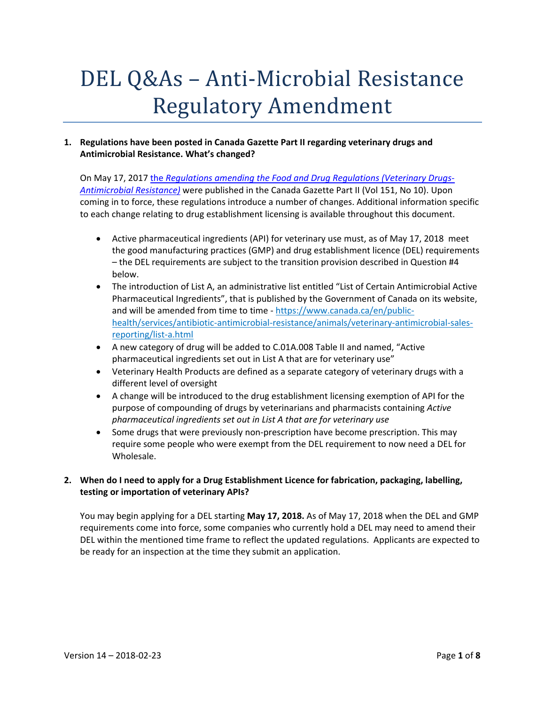# DEL Q&As – Anti-Microbial Resistance Regulatory Amendment

#### **1. Regulations have been posted in Canada Gazette Part II regarding veterinary drugs and Antimicrobial Resistance. What's changed?**

On May 17, 2017 the *Regulations amending the Food and Drug Regulations (Veterinary Drugs‐ Antimicrobial Resistance)* were published in the Canada Gazette Part II (Vol 151, No 10). Upon coming in to force, these regulations introduce a number of changes. Additional information specific to each change relating to drug establishment licensing is available throughout this document.

- Active pharmaceutical ingredients (API) for veterinary use must, as of May 17, 2018 meet the good manufacturing practices (GMP) and drug establishment licence (DEL) requirements – the DEL requirements are subject to the transition provision described in Question #4 below.
- The introduction of List A, an administrative list entitled "List of Certain Antimicrobial Active Pharmaceutical Ingredients", that is published by the Government of Canada on its website, and will be amended from time to time - https://www.canada.ca/en/publichealth/services/antibiotic-antimicrobial-resistance/animals/veterinary-antimicrobial-salesreporting/list‐a.html
- A new category of drug will be added to C.01A.008 Table II and named, "Active pharmaceutical ingredients set out in List A that are for veterinary use"
- Veterinary Health Products are defined as a separate category of veterinary drugs with a different level of oversight
- A change will be introduced to the drug establishment licensing exemption of API for the purpose of compounding of drugs by veterinarians and pharmacists containing *Active pharmaceutical ingredients set out in List A that are for veterinary use*
- Some drugs that were previously non‐prescription have become prescription. This may require some people who were exempt from the DEL requirement to now need a DEL for Wholesale.

# **2. When do I need to apply for a Drug Establishment Licence for fabrication, packaging, labelling, testing or importation of veterinary APIs?**

You may begin applying for a DEL starting **May 17, 2018.** As of May 17, 2018 when the DEL and GMP requirements come into force, some companies who currently hold a DEL may need to amend their DEL within the mentioned time frame to reflect the updated regulations. Applicants are expected to be ready for an inspection at the time they submit an application.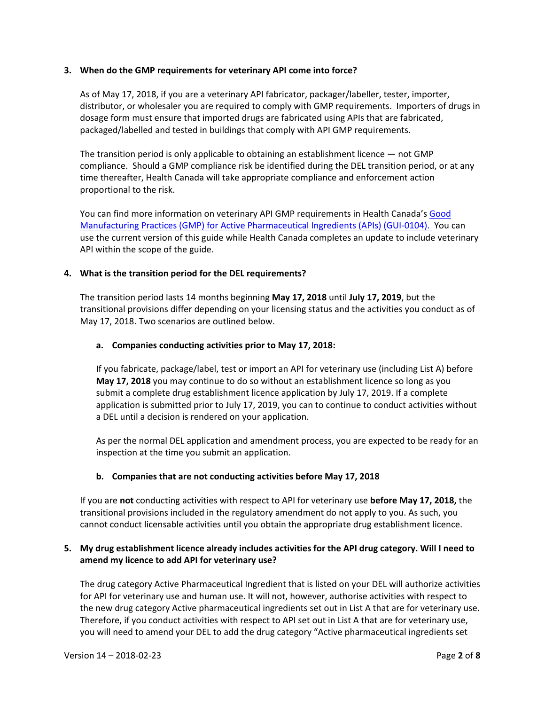#### **3. When do the GMP requirements for veterinary API come into force?**

As of May 17, 2018, if you are a veterinary API fabricator, packager/labeller, tester, importer, distributor, or wholesaler you are required to comply with GMP requirements. Importers of drugs in dosage form must ensure that imported drugs are fabricated using APIs that are fabricated, packaged/labelled and tested in buildings that comply with API GMP requirements.

The transition period is only applicable to obtaining an establishment licence — not GMP compliance. Should a GMP compliance risk be identified during the DEL transition period, or at any time thereafter, Health Canada will take appropriate compliance and enforcement action proportional to the risk.

You can find more information on veterinary API GMP requirements in Health Canada's Good Manufacturing Practices (GMP) for Active Pharmaceutical Ingredients (APIs) (GUI‐0104). You can use the current version of this guide while Health Canada completes an update to include veterinary API within the scope of the guide.

#### **4. What is the transition period for the DEL requirements?**

The transition period lasts 14 months beginning **May 17, 2018** until **July 17, 2019**, but the transitional provisions differ depending on your licensing status and the activities you conduct as of May 17, 2018. Two scenarios are outlined below.

#### **a. Companies conducting activities prior to May 17, 2018:**

If you fabricate, package/label, test or import an API for veterinary use (including List A) before **May 17, 2018** you may continue to do so without an establishment licence so long as you submit a complete drug establishment licence application by July 17, 2019. If a complete application is submitted prior to July 17, 2019, you can to continue to conduct activities without a DEL until a decision is rendered on your application.

As per the normal DEL application and amendment process, you are expected to be ready for an inspection at the time you submit an application.

#### **b. Companies that are not conducting activities before May 17, 2018**

If you are **not** conducting activities with respect to API for veterinary use **before May 17, 2018,** the transitional provisions included in the regulatory amendment do not apply to you. As such, you cannot conduct licensable activities until you obtain the appropriate drug establishment licence.

#### **5. My drug establishment licence already includes activities for the API drug category. Will I need to amend my licence to add API for veterinary use?**

The drug category Active Pharmaceutical Ingredient that is listed on your DEL will authorize activities for API for veterinary use and human use. It will not, however, authorise activities with respect to the new drug category Active pharmaceutical ingredients set out in List A that are for veterinary use. Therefore, if you conduct activities with respect to API set out in List A that are for veterinary use, you will need to amend your DEL to add the drug category "Active pharmaceutical ingredients set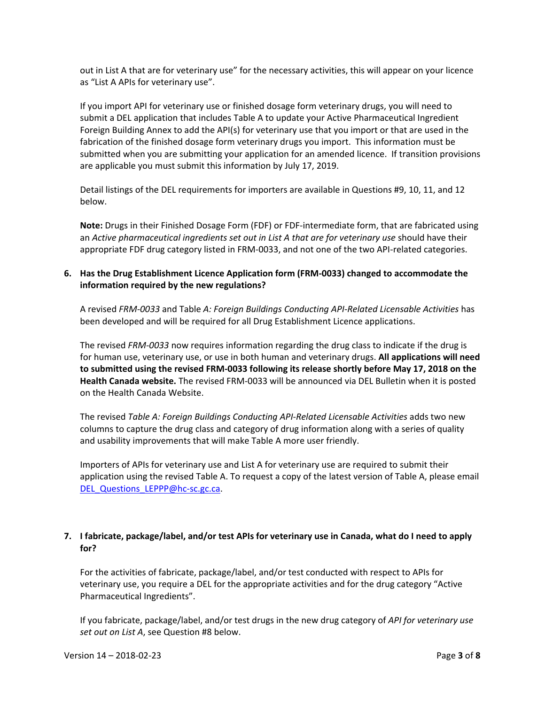out in List A that are for veterinary use" for the necessary activities, this will appear on your licence as "List A APIs for veterinary use".

If you import API for veterinary use or finished dosage form veterinary drugs, you will need to submit a DEL application that includes Table A to update your Active Pharmaceutical Ingredient Foreign Building Annex to add the API(s) for veterinary use that you import or that are used in the fabrication of the finished dosage form veterinary drugs you import. This information must be submitted when you are submitting your application for an amended licence. If transition provisions are applicable you must submit this information by July 17, 2019.

Detail listings of the DEL requirements for importers are available in Questions #9, 10, 11, and 12 below.

**Note:** Drugs in their Finished Dosage Form (FDF) or FDF‐intermediate form, that are fabricated using an *Active pharmaceutical ingredients set out in List A that are for veterinary use* should have their appropriate FDF drug category listed in FRM‐0033, and not one of the two API‐related categories.

#### **6. Has the Drug Establishment Licence Application form (FRM‐0033) changed to accommodate the information required by the new regulations?**

A revised *FRM‐0033* and Table *A: Foreign Buildings Conducting API‐Related Licensable Activities* has been developed and will be required for all Drug Establishment Licence applications.

The revised *FRM‐0033* now requires information regarding the drug class to indicate if the drug is for human use, veterinary use, or use in both human and veterinary drugs. **All applications will need to submitted using the revised FRM‐0033 following its release shortly before May 17, 2018 on the Health Canada website.** The revised FRM‐0033 will be announced via DEL Bulletin when it is posted on the Health Canada Website.

The revised *Table A: Foreign Buildings Conducting API‐Related Licensable Activities* adds two new columns to capture the drug class and category of drug information along with a series of quality and usability improvements that will make Table A more user friendly.

Importers of APIs for veterinary use and List A for veterinary use are required to submit their application using the revised Table A. To request a copy of the latest version of Table A, please email DEL Questions LEPPP@hc-sc.gc.ca.

## 7. I fabricate, package/label, and/or test APIs for veterinary use in Canada, what do I need to apply **for?**

For the activities of fabricate, package/label, and/or test conducted with respect to APIs for veterinary use, you require a DEL for the appropriate activities and for the drug category "Active Pharmaceutical Ingredients".

If you fabricate, package/label, and/or test drugs in the new drug category of *API for veterinary use set out on List A*, see Question #8 below.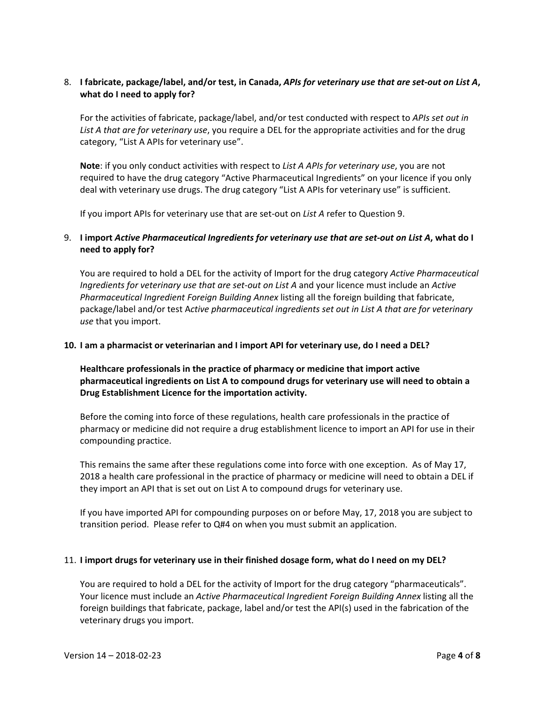#### 8. I fabricate, package/label, and/or test, in Canada, APIs for veterinary use that are set-out on List A, **what do I need to apply for?**

For the activities of fabricate, package/label, and/or test conducted with respect to *APIs set out in List A that are for veterinary use*, you require a DEL for the appropriate activities and for the drug category, "List A APIs for veterinary use".

**Note**: if you only conduct activities with respect to *List A APIs for veterinary use*, you are not required to have the drug category "Active Pharmaceutical Ingredients" on your licence if you only deal with veterinary use drugs. The drug category "List A APIs for veterinary use" is sufficient.

If you import APIs for veterinary use that are set‐out on *List A* refer to Question 9.

#### 9. I import Active Pharmaceutical Ingredients for veterinary use that are set-out on List A, what do I **need to apply for?**

You are required to hold a DEL for the activity of Import for the drug category *Active Pharmaceutical Ingredients for veterinary use that are set‐out on List A* and your licence must include an *Active Pharmaceutical Ingredient Foreign Building Annex* listing all the foreign building that fabricate, package/label and/or test A*ctive pharmaceutical ingredients set out in List A that are for veterinary use* that you import.

#### **10. I am a pharmacist or veterinarian and I import API for veterinary use, do I need a DEL?**

**Healthcare professionals in the practice of pharmacy or medicine that import active pharmaceutical ingredients on List A to compound drugs for veterinary use will need to obtain a Drug Establishment Licence for the importation activity.** 

Before the coming into force of these regulations, health care professionals in the practice of pharmacy or medicine did not require a drug establishment licence to import an API for use in their compounding practice.

This remains the same after these regulations come into force with one exception. As of May 17, 2018 a health care professional in the practice of pharmacy or medicine will need to obtain a DEL if they import an API that is set out on List A to compound drugs for veterinary use.

If you have imported API for compounding purposes on or before May, 17, 2018 you are subject to transition period. Please refer to Q#4 on when you must submit an application.

#### 11. **I import drugs for veterinary use in their finished dosage form, what do I need on my DEL?**

You are required to hold a DEL for the activity of Import for the drug category "pharmaceuticals". Your licence must include an *Active Pharmaceutical Ingredient Foreign Building Annex* listing all the foreign buildings that fabricate, package, label and/or test the API(s) used in the fabrication of the veterinary drugs you import.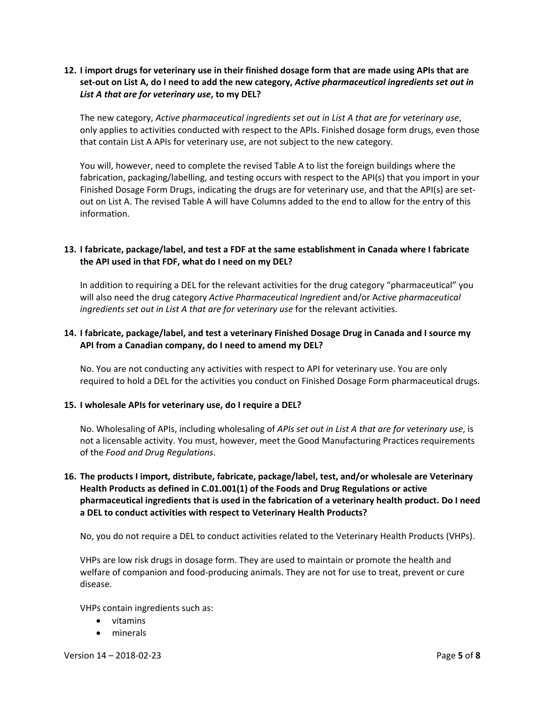#### 12. I import drugs for veterinary use in their finished dosage form that are made using APIs that are set-out on List A, do I need to add the new category, Active pharmaceutical ingredients set out in *List A that are for veterinary use***, to my DEL?**

The new category, *Active pharmaceutical ingredients set out in List A that are for veterinary use*, only applies to activities conducted with respect to the APIs. Finished dosage form drugs, even those that contain List A APIs for veterinary use, are not subject to the new category.

You will, however, need to complete the revised Table A to list the foreign buildings where the fabrication, packaging/labelling, and testing occurs with respect to the API(s) that you import in your Finished Dosage Form Drugs, indicating the drugs are for veterinary use, and that the API(s) are set‐ out on List A. The revised Table A will have Columns added to the end to allow for the entry of this information.

#### **13. I fabricate, package/label, and test a FDF at the same establishment in Canada where I fabricate the API used in that FDF, what do I need on my DEL?**

In addition to requiring a DEL for the relevant activities for the drug category "pharmaceutical" you will also need the drug category *Active Pharmaceutical Ingredient* and/or A*ctive pharmaceutical ingredients set out in List A that are for veterinary use* for the relevant activities.

## **14. I fabricate, package/label, and test a veterinary Finished Dosage Drug in Canada and I source my API from a Canadian company, do I need to amend my DEL?**

No. You are not conducting any activities with respect to API for veterinary use. You are only required to hold a DEL for the activities you conduct on Finished Dosage Form pharmaceutical drugs.

#### **15. I wholesale APIs for veterinary use, do I require a DEL?**

No. Wholesaling of APIs, including wholesaling of *APIs set out in List A that are for veterinary use*, is not a licensable activity. You must, however, meet the Good Manufacturing Practices requirements of the *Food and Drug Regulations*.

## **16. The products I import, distribute, fabricate, package/label, test, and/or wholesale are Veterinary Health Products as defined in C.01.001(1) of the Foods and Drug Regulations or active pharmaceutical ingredients that is used in the fabrication of a veterinary health product. Do I need a DEL to conduct activities with respect to Veterinary Health Products?**

No, you do not require a DEL to conduct activities related to the Veterinary Health Products (VHPs).

VHPs are low risk drugs in dosage form. They are used to maintain or promote the health and welfare of companion and food‐producing animals. They are not for use to treat, prevent or cure disease.

VHPs contain ingredients such as:

- vitamins
- minerals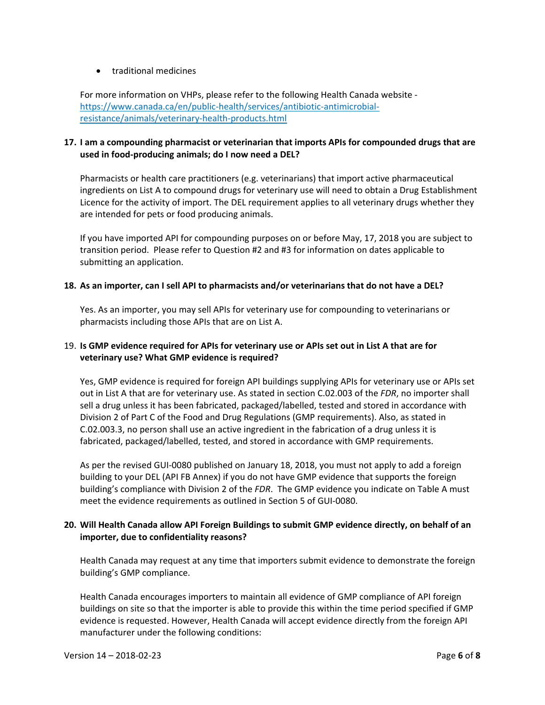#### traditional medicines

For more information on VHPs, please refer to the following Health Canada website ‐ https://www.canada.ca/en/public-health/services/antibiotic-antimicrobialresistance/animals/veterinary‐health‐products.html

#### **17. I am a compounding pharmacist or veterinarian that imports APIs for compounded drugs that are used in food‐producing animals; do I now need a DEL?**

Pharmacists or health care practitioners (e.g. veterinarians) that import active pharmaceutical ingredients on List A to compound drugs for veterinary use will need to obtain a Drug Establishment Licence for the activity of import. The DEL requirement applies to all veterinary drugs whether they are intended for pets or food producing animals.

If you have imported API for compounding purposes on or before May, 17, 2018 you are subject to transition period. Please refer to Question #2 and #3 for information on dates applicable to submitting an application.

#### **18. As an importer, can I sell API to pharmacists and/or veterinarians that do not have a DEL?**

Yes. As an importer, you may sell APIs for veterinary use for compounding to veterinarians or pharmacists including those APIs that are on List A.

#### 19. Is GMP evidence required for APIs for veterinary use or APIs set out in List A that are for **veterinary use? What GMP evidence is required?**

Yes, GMP evidence is required for foreign API buildings supplying APIs for veterinary use or APIs set out in List A that are for veterinary use. As stated in section C.02.003 of the *FDR*, no importer shall sell a drug unless it has been fabricated, packaged/labelled, tested and stored in accordance with Division 2 of Part C of the Food and Drug Regulations (GMP requirements). Also, as stated in C.02.003.3, no person shall use an active ingredient in the fabrication of a drug unless it is fabricated, packaged/labelled, tested, and stored in accordance with GMP requirements.

As per the revised GUI‐0080 published on January 18, 2018, you must not apply to add a foreign building to your DEL (API FB Annex) if you do not have GMP evidence that supports the foreign building's compliance with Division 2 of the *FDR*. The GMP evidence you indicate on Table A must meet the evidence requirements as outlined in Section 5 of GUI‐0080.

#### **20. Will Health Canada allow API Foreign Buildings to submit GMP evidence directly, on behalf of an importer, due to confidentiality reasons?**

Health Canada may request at any time that importers submit evidence to demonstrate the foreign building's GMP compliance.

Health Canada encourages importers to maintain all evidence of GMP compliance of API foreign buildings on site so that the importer is able to provide this within the time period specified if GMP evidence is requested. However, Health Canada will accept evidence directly from the foreign API manufacturer under the following conditions: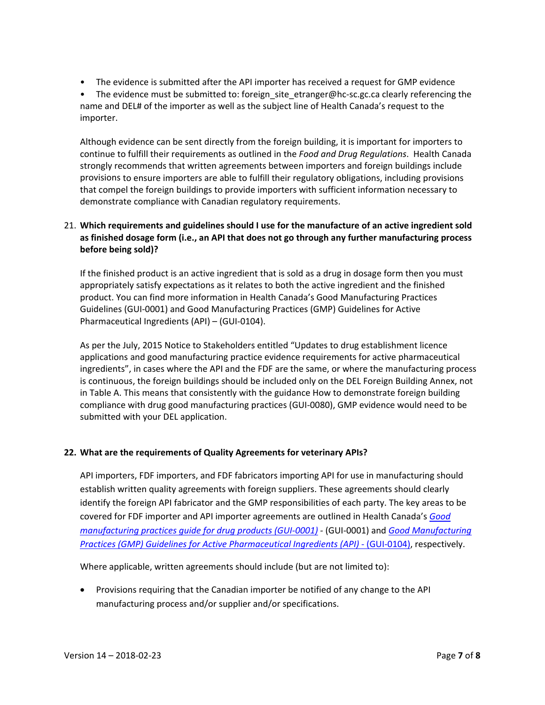- The evidence is submitted after the API importer has received a request for GMP evidence
- The evidence must be submitted to: foreign site etranger@hc-sc.gc.ca clearly referencing the name and DEL# of the importer as well as the subject line of Health Canada's request to the importer.

Although evidence can be sent directly from the foreign building, it is important for importers to continue to fulfill their requirements as outlined in the *Food and Drug Regulations*. Health Canada strongly recommends that written agreements between importers and foreign buildings include provisions to ensure importers are able to fulfill their regulatory obligations, including provisions that compel the foreign buildings to provide importers with sufficient information necessary to demonstrate compliance with Canadian regulatory requirements.

## 21. **Which requirements and guidelines should I use for the manufacture of an active ingredient sold as finished dosage form (i.e., an API that does not go through any further manufacturing process before being sold)?**

If the finished product is an active ingredient that is sold as a drug in dosage form then you must appropriately satisfy expectations as it relates to both the active ingredient and the finished product. You can find more information in Health Canada's Good Manufacturing Practices Guidelines (GUI‐0001) and Good Manufacturing Practices (GMP) Guidelines for Active Pharmaceutical Ingredients (API) – (GUI‐0104).

As per the July, 2015 Notice to Stakeholders entitled "Updates to drug establishment licence applications and good manufacturing practice evidence requirements for active pharmaceutical ingredients", in cases where the API and the FDF are the same, or where the manufacturing process is continuous, the foreign buildings should be included only on the DEL Foreign Building Annex, not in Table A. This means that consistently with the guidance How to demonstrate foreign building compliance with drug good manufacturing practices (GUI‐0080), GMP evidence would need to be submitted with your DEL application.

# **22. What are the requirements of Quality Agreements for veterinary APIs?**

API importers, FDF importers, and FDF fabricators importing API for use in manufacturing should establish written quality agreements with foreign suppliers. These agreements should clearly identify the foreign API fabricator and the GMP responsibilities of each party. The key areas to be covered for FDF importer and API importer agreements are outlined in Health Canada's *Good manufacturing practices guide for drug products (GUI‐0001) ‐* (GUI‐0001) and *Good Manufacturing Practices (GMP) Guidelines for Active Pharmaceutical Ingredients (API)* ‐ (GUI‐0104), respectively.

Where applicable, written agreements should include (but are not limited to):

 Provisions requiring that the Canadian importer be notified of any change to the API manufacturing process and/or supplier and/or specifications.